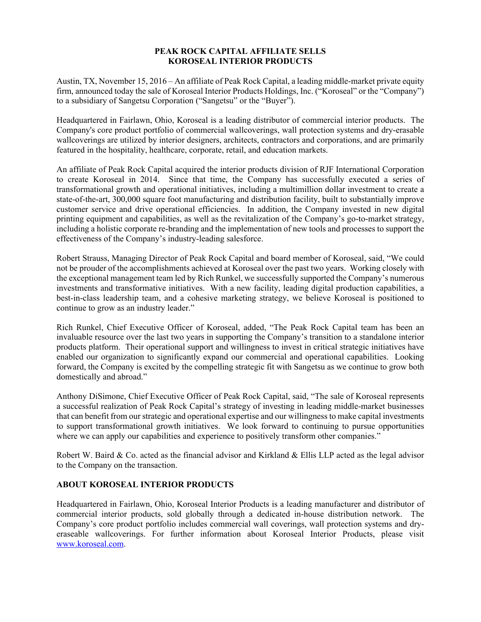## **PEAK ROCK CAPITAL AFFILIATE SELLS KOROSEAL INTERIOR PRODUCTS**

Austin, TX, November 15, 2016 – An affiliate of Peak Rock Capital, a leading middle-market private equity firm, announced today the sale of Koroseal Interior Products Holdings, Inc. ("Koroseal" or the "Company") to a subsidiary of Sangetsu Corporation ("Sangetsu" or the "Buyer").

Headquartered in Fairlawn, Ohio, Koroseal is a leading distributor of commercial interior products. The Company's core product portfolio of commercial wallcoverings, wall protection systems and dry-erasable wallcoverings are utilized by interior designers, architects, contractors and corporations, and are primarily featured in the hospitality, healthcare, corporate, retail, and education markets.

An affiliate of Peak Rock Capital acquired the interior products division of RJF International Corporation to create Koroseal in 2014. Since that time, the Company has successfully executed a series of transformational growth and operational initiatives, including a multimillion dollar investment to create a state-of-the-art, 300,000 square foot manufacturing and distribution facility, built to substantially improve customer service and drive operational efficiencies. In addition, the Company invested in new digital printing equipment and capabilities, as well as the revitalization of the Company's go-to-market strategy, including a holistic corporate re-branding and the implementation of new tools and processes to support the effectiveness of the Company's industry-leading salesforce.

Robert Strauss, Managing Director of Peak Rock Capital and board member of Koroseal, said, "We could not be prouder of the accomplishments achieved at Koroseal over the past two years. Working closely with the exceptional management team led by Rich Runkel, we successfully supported the Company's numerous investments and transformative initiatives. With a new facility, leading digital production capabilities, a best-in-class leadership team, and a cohesive marketing strategy, we believe Koroseal is positioned to continue to grow as an industry leader."

Rich Runkel, Chief Executive Officer of Koroseal, added, "The Peak Rock Capital team has been an invaluable resource over the last two years in supporting the Company's transition to a standalone interior products platform. Their operational support and willingness to invest in critical strategic initiatives have enabled our organization to significantly expand our commercial and operational capabilities. Looking forward, the Company is excited by the compelling strategic fit with Sangetsu as we continue to grow both domestically and abroad."

Anthony DiSimone, Chief Executive Officer of Peak Rock Capital, said, "The sale of Koroseal represents a successful realization of Peak Rock Capital's strategy of investing in leading middle-market businesses that can benefit from our strategic and operational expertise and our willingness to make capital investments to support transformational growth initiatives. We look forward to continuing to pursue opportunities where we can apply our capabilities and experience to positively transform other companies."

Robert W. Baird & Co. acted as the financial advisor and Kirkland & Ellis LLP acted as the legal advisor to the Company on the transaction.

## **ABOUT KOROSEAL INTERIOR PRODUCTS**

Headquartered in Fairlawn, Ohio, Koroseal Interior Products is a leading manufacturer and distributor of commercial interior products, sold globally through a dedicated in-house distribution network. The Company's core product portfolio includes commercial wall coverings, wall protection systems and dryeraseable wallcoverings. For further information about Koroseal Interior Products, please visit www.koroseal.com.